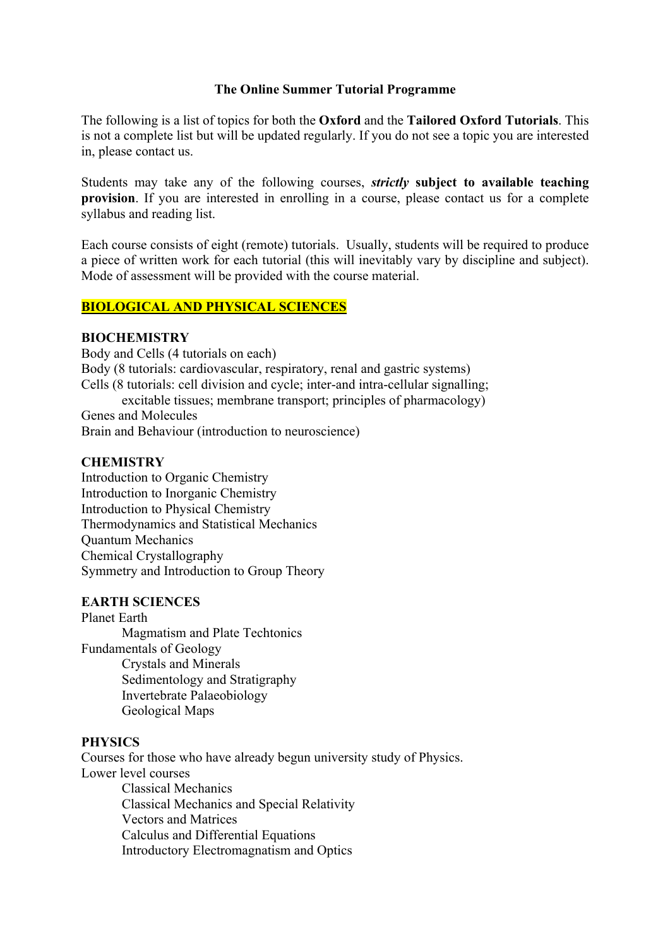### **The Online Summer Tutorial Programme**

The following is a list of topics for both the **Oxford** and the **Tailored Oxford Tutorials**. This is not a complete list but will be updated regularly. If you do not see a topic you are interested in, please contact us.

Students may take any of the following courses, *strictly* **subject to available teaching provision**. If you are interested in enrolling in a course, please contact us for a complete syllabus and reading list.

Each course consists of eight (remote) tutorials. Usually, students will be required to produce a piece of written work for each tutorial (this will inevitably vary by discipline and subject). Mode of assessment will be provided with the course material.

# **BIOLOGICAL AND PHYSICAL SCIENCES**

### **BIOCHEMISTRY**

Body and Cells (4 tutorials on each) Body (8 tutorials: cardiovascular, respiratory, renal and gastric systems) Cells (8 tutorials: cell division and cycle; inter-and intra-cellular signalling; excitable tissues; membrane transport; principles of pharmacology) Genes and Molecules Brain and Behaviour (introduction to neuroscience)

### **CHEMISTRY**

Introduction to Organic Chemistry Introduction to Inorganic Chemistry Introduction to Physical Chemistry Thermodynamics and Statistical Mechanics Quantum Mechanics Chemical Crystallography Symmetry and Introduction to Group Theory

### **EARTH SCIENCES**

Planet Earth Magmatism and Plate Techtonics Fundamentals of Geology Crystals and Minerals Sedimentology and Stratigraphy Invertebrate Palaeobiology Geological Maps

### **PHYSICS**

Courses for those who have already begun university study of Physics. Lower level courses Classical Mechanics Classical Mechanics and Special Relativity Vectors and Matrices Calculus and Differential Equations Introductory Electromagnatism and Optics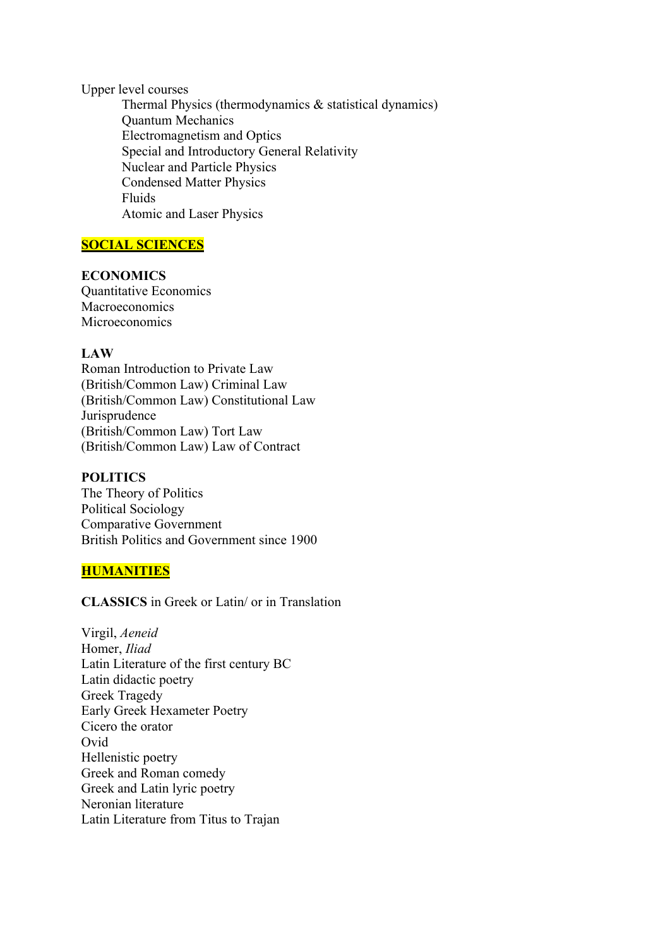Upper level courses

Thermal Physics (thermodynamics & statistical dynamics) Quantum Mechanics Electromagnetism and Optics Special and Introductory General Relativity Nuclear and Particle Physics Condensed Matter Physics Fluids Atomic and Laser Physics

# **SOCIAL SCIENCES**

# **ECONOMICS**

Quantitative Economics Macroeconomics Microeconomics

# **LAW**

Roman Introduction to Private Law (British/Common Law) Criminal Law (British/Common Law) Constitutional Law Jurisprudence (British/Common Law) Tort Law (British/Common Law) Law of Contract

### **POLITICS**

The Theory of Politics Political Sociology Comparative Government British Politics and Government since 1900

# **HUMANITIES**

**CLASSICS** in Greek or Latin/ or in Translation

Virgil, *Aeneid* Homer, *Iliad* Latin Literature of the first century BC Latin didactic poetry Greek Tragedy Early Greek Hexameter Poetry Cicero the orator Ovid Hellenistic poetry Greek and Roman comedy Greek and Latin lyric poetry Neronian literature Latin Literature from Titus to Trajan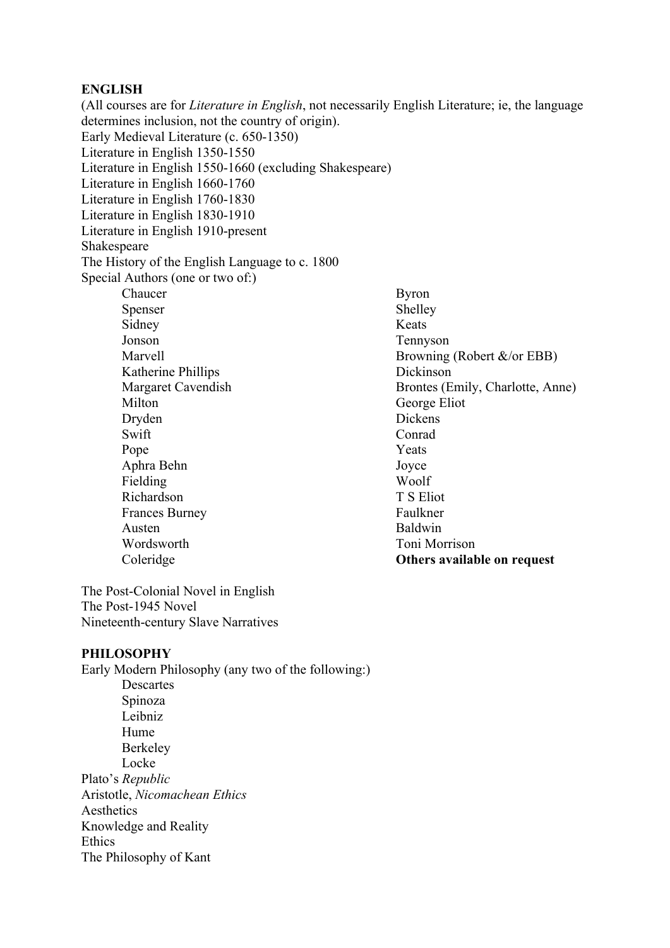# **ENGLISH**

(All courses are for *Literature in English*, not necessarily English Literature; ie, the language determines inclusion, not the country of origin). Early Medieval Literature (c. 650-1350) Literature in English 1350-1550 Literature in English 1550-1660 (excluding Shakespeare) Literature in English 1660-1760 Literature in English 1760-1830 Literature in English 1830-1910 Literature in English 1910-present Shakespeare The History of the English Language to c. 1800 Special Authors (one or two of:) Chaucer Spenser Sidney Jonson Marvell Katherine Phillips Margaret Cavendish Milton Dryden Swift Pope Aphra Behn Fielding Richardson Frances Burney Austen Wordsworth Coleridge Byron Shelley Keats Tennyson Browning (Robert &/or EBB) Dickinson Brontes (Emily, Charlotte, Anne) George Eliot Dickens Conrad Yeats Joyce Woolf T S Eliot Faulkner Baldwin Toni Morrison **Others available on request**

The Post-Colonial Novel in English The Post-1945 Novel Nineteenth-century Slave Narratives

### **PHILOSOPHY**

Early Modern Philosophy (any two of the following:) Descartes Spinoza Leibniz Hume Berkeley Locke Plato's *Republic* Aristotle, *Nicomachean Ethics* Aesthetics Knowledge and Reality Ethics The Philosophy of Kant